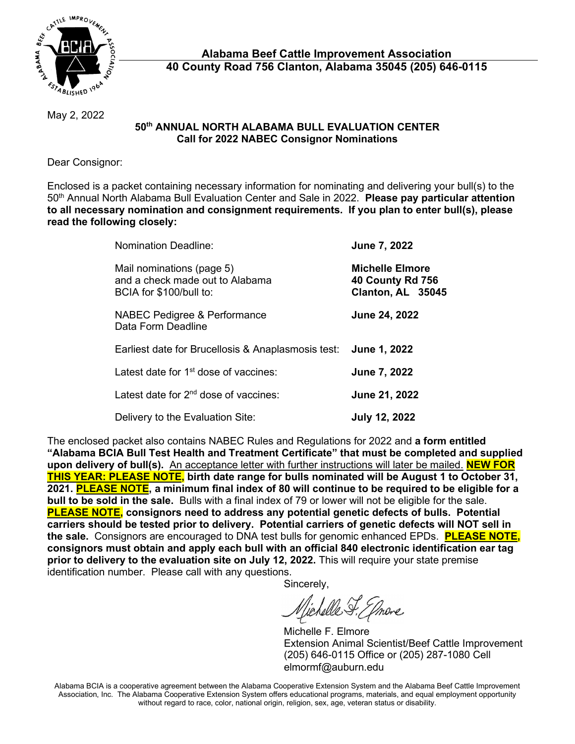

May 2, 2022

## **50th ANNUAL NORTH ALABAMA BULL EVALUATION CENTER Call for 2022 NABEC Consignor Nominations**

Dear Consignor:

Enclosed is a packet containing necessary information for nominating and delivering your bull(s) to the 50th Annual North Alabama Bull Evaluation Center and Sale in 2022. **Please pay particular attention to all necessary nomination and consignment requirements. If you plan to enter bull(s), please read the following closely:**

| <b>Nomination Deadline:</b>                                                             | June 7, 2022                                                           |
|-----------------------------------------------------------------------------------------|------------------------------------------------------------------------|
| Mail nominations (page 5)<br>and a check made out to Alabama<br>BCIA for \$100/bull to: | <b>Michelle Elmore</b><br><b>40 County Rd 756</b><br>Clanton, AL 35045 |
| NABEC Pedigree & Performance<br>Data Form Deadline                                      | June 24, 2022                                                          |
| Earliest date for Brucellosis & Anaplasmosis test: June 1, 2022                         |                                                                        |
| Latest date for 1 <sup>st</sup> dose of vaccines:                                       | June 7, 2022                                                           |
| Latest date for 2 <sup>nd</sup> dose of vaccines:                                       | June 21, 2022                                                          |
| Delivery to the Evaluation Site:                                                        | <b>July 12, 2022</b>                                                   |

The enclosed packet also contains NABEC Rules and Regulations for 2022 and **a form entitled "Alabama BCIA Bull Test Health and Treatment Certificate" that must be completed and supplied upon delivery of bull(s).** An acceptance letter with further instructions will later be mailed. **NEW FOR THIS YEAR: PLEASE NOTE, birth date range for bulls nominated will be August 1 to October 31, 2021. PLEASE NOTE, a minimum final index of 80 will continue to be required to be eligible for a bull to be sold in the sale.** Bulls with a final index of 79 or lower will not be eligible for the sale. **PLEASE NOTE, consignors need to address any potential genetic defects of bulls. Potential carriers should be tested prior to delivery. Potential carriers of genetic defects will NOT sell in the sale.** Consignors are encouraged to DNA test bulls for genomic enhanced EPDs. **PLEASE NOTE, consignors must obtain and apply each bull with an official 840 electronic identification ear tag prior to delivery to the evaluation site on July 12, 2022.** This will require your state premise identification number. Please call with any questions.

Sincerely,

Michelle F. Elmore

 Michelle F. Elmore Extension Animal Scientist/Beef Cattle Improvement (205) 646-0115 Office or (205) 287-1080 Cell elmormf@auburn.edu

Alabama BCIA is a cooperative agreement between the Alabama Cooperative Extension System and the Alabama Beef Cattle Improvement Association, Inc. The Alabama Cooperative Extension System offers educational programs, materials, and equal employment opportunity without regard to race, color, national origin, religion, sex, age, veteran status or disability.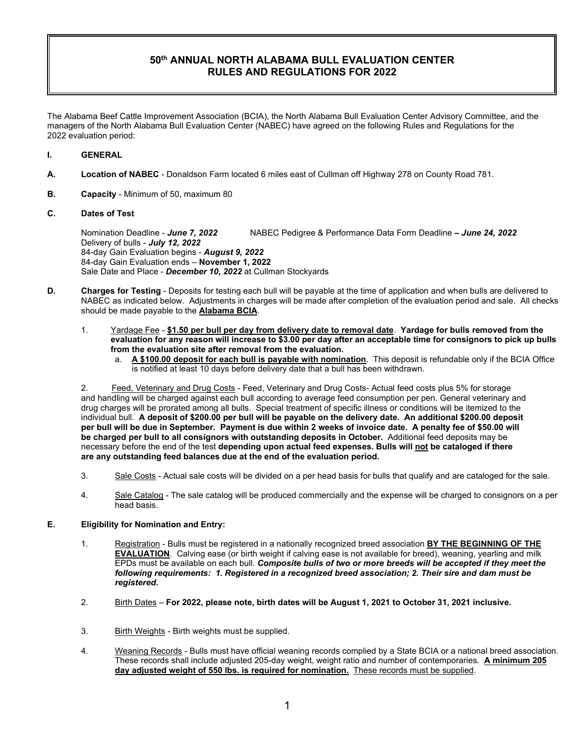## **50th ANNUAL NORTH ALABAMA BULL EVALUATION CENTER RULES AND REGULATIONS FOR 2022**

The Alabama Beef Cattle Improvement Association (BCIA), the North Alabama Bull Evaluation Center Advisory Committee, and the managers of the North Alabama Bull Evaluation Center (NABEC) have agreed on the following Rules and Regulations for the 2022 evaluation period:

#### **I. GENERAL**

- **A. Location of NABEC** Donaldson Farm located 6 miles east of Cullman off Highway 278 on County Road 781.
- **B. Capacity** Minimum of 50, maximum 80

#### **C. Dates of Test**

Nomination Deadline - *June 7, 2022* NABEC Pedigree & Performance Data Form Deadline **–** *June 24, 2022*  Delivery of bulls - *July 12, 2022* 84-day Gain Evaluation begins - *August 9, 2022*  84-day Gain Evaluation ends – **November 1, 2022** Sale Date and Place - *December 10, 2022* at Cullman Stockyards

- **D. Charges for Testing** Deposits for testing each bull will be payable at the time of application and when bulls are delivered to NABEC as indicated below. Adjustments in charges will be made after completion of the evaluation period and sale. All checks should be made payable to the **Alabama BCIA**.
	- 1. Yardage Fee **\$1.50 per bull per day from delivery date to removal date**. **Yardage for bulls removed from the evaluation for any reason will increase to \$3.00 per day after an acceptable time for consignors to pick up bulls from the evaluation site after removal from the evaluation.**
		- a. **A \$100.00 deposit for each bull is payable with nomination**. This deposit is refundable only if the BCIA Office is notified at least 10 days before delivery date that a bull has been withdrawn.

2. Feed, Veterinary and Drug Costs - Feed, Veterinary and Drug Costs- Actual feed costs plus 5% for storage and handling will be charged against each bull according to average feed consumption per pen. General veterinary and drug charges will be prorated among all bulls. Special treatment of specific illness or conditions will be itemized to the individual bull. **A deposit of \$200.00 per bull will be payable on the delivery date. An additional \$200.00 deposit per bull will be due in September. Payment is due within 2 weeks of invoice date. A penalty fee of \$50.00 will be charged per bull to all consignors with outstanding deposits in October.** Additional feed deposits may be necessary before the end of the test **depending upon actual feed expenses. Bulls will not be cataloged if there are any outstanding feed balances due at the end of the evaluation period.** 

- 3. Sale Costs Actual sale costs will be divided on a per head basis for bulls that qualify and are cataloged for the sale.
- 4. Sale Catalog The sale catalog will be produced commercially and the expense will be charged to consignors on a per head basis.

## **E. Eligibility for Nomination and Entry:**

- 1. Registration Bulls must be registered in a nationally recognized breed association **BY THE BEGINNING OF THE EVALUATION**. Calving ease (or birth weight if calving ease is not available for breed), weaning, yearling and milk EPDs must be available on each bull. *Composite bulls of two or more breeds will be accepted if they meet the following requirements: 1. Registered in a recognized breed association; 2. Their sire and dam must be registered.*
- 2. Birth Dates **For 2022, please note, birth dates will be August 1, 2021 to October 31, 2021 inclusive.**
- 3. Birth Weights Birth weights must be supplied.
- 4. Weaning Records Bulls must have official weaning records complied by a State BCIA or a national breed association. These records shall include adjusted 205-day weight, weight ratio and number of contemporaries. **A minimum 205 day adjusted weight of 550 lbs. is required for nomination.** These records must be supplied.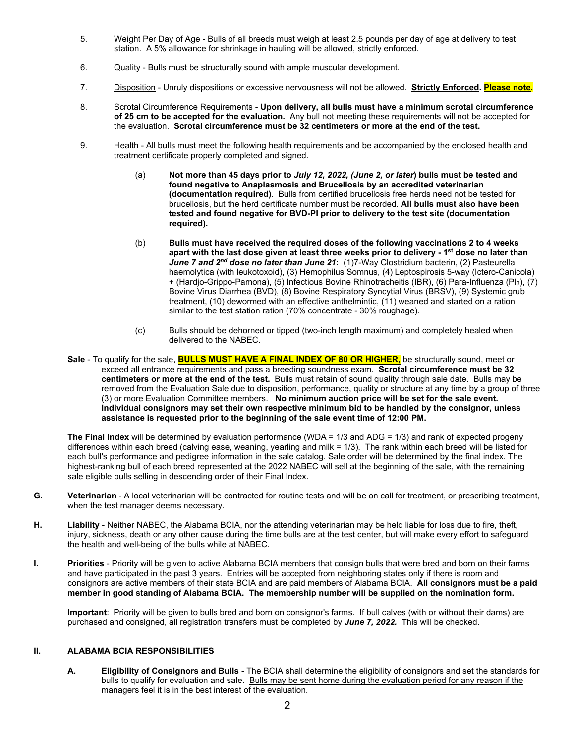- 5. Weight Per Day of Age Bulls of all breeds must weigh at least 2.5 pounds per day of age at delivery to test station. A 5% allowance for shrinkage in hauling will be allowed, strictly enforced.
- 6. **Quality** Bulls must be structurally sound with ample muscular development.
- 7. Disposition Unruly dispositions or excessive nervousness will not be allowed. **Strictly Enforced. Please note.**
- 8. Scrotal Circumference Requirements **Upon delivery, all bulls must have a minimum scrotal circumference of 25 cm to be accepted for the evaluation.** Any bull not meeting these requirements will not be accepted for the evaluation. **Scrotal circumference must be 32 centimeters or more at the end of the test.**
- 9. Health All bulls must meet the following health requirements and be accompanied by the enclosed health and treatment certificate properly completed and signed.
	- (a) **Not more than 45 days prior to** *July 12, 2022, (June 2, or later***) bulls must be tested and found negative to Anaplasmosis and Brucellosis by an accredited veterinarian (documentation required)**. Bulls from certified brucellosis free herds need not be tested for brucellosis, but the herd certificate number must be recorded. **All bulls must also have been tested and found negative for BVD-PI prior to delivery to the test site (documentation required).**
	- (b) **Bulls must have received the required doses of the following vaccinations 2 to 4 weeks apart with the last dose given at least three weeks prior to delivery - 1st dose no later than**  *June 7 and 2nd dose no later than June 21***:** (1)7-Way Clostridium bacterin, (2) Pasteurella haemolytica (with leukotoxoid), (3) Hemophilus Somnus, (4) Leptospirosis 5-way (Ictero-Canicola) + (Hardjo-Grippo-Pamona), (5) Infectious Bovine Rhinotracheitis (IBR), (6) Para-Influenza (PI3), (7) Bovine Virus Diarrhea (BVD), (8) Bovine Respiratory Syncytial Virus (BRSV), (9) Systemic grub treatment, (10) dewormed with an effective anthelmintic, (11) weaned and started on a ration similar to the test station ration (70% concentrate - 30% roughage).
	- (c) Bulls should be dehorned or tipped (two-inch length maximum) and completely healed when delivered to the NABEC.
- **Sale**  To qualify for the sale, **BULLS MUST HAVE A FINAL INDEX OF 80 OR HIGHER,** be structurally sound, meet or exceed all entrance requirements and pass a breeding soundness exam. **Scrotal circumference must be 32 centimeters or more at the end of the test.** Bulls must retain of sound quality through sale date. Bulls may be removed from the Evaluation Sale due to disposition, performance, quality or structure at any time by a group of three (3) or more Evaluation Committee members. **No minimum auction price will be set for the sale event. Individual consignors may set their own respective minimum bid to be handled by the consignor, unless assistance is requested prior to the beginning of the sale event time of 12:00 PM.**

**The Final Index** will be determined by evaluation performance (WDA = 1/3 and ADG = 1/3) and rank of expected progeny differences within each breed (calving ease, weaning, yearling and milk = 1/3). The rank within each breed will be listed for each bull's performance and pedigree information in the sale catalog. Sale order will be determined by the final index. The highest-ranking bull of each breed represented at the 2022 NABEC will sell at the beginning of the sale, with the remaining sale eligible bulls selling in descending order of their Final Index.

- **G. Veterinarian** A local veterinarian will be contracted for routine tests and will be on call for treatment, or prescribing treatment, when the test manager deems necessary.
- **H. Liability** Neither NABEC, the Alabama BCIA, nor the attending veterinarian may be held liable for loss due to fire, theft, injury, sickness, death or any other cause during the time bulls are at the test center, but will make every effort to safeguard the health and well-being of the bulls while at NABEC.
- **I. Priorities** Priority will be given to active Alabama BCIA members that consign bulls that were bred and born on their farms and have participated in the past 3 years. Entries will be accepted from neighboring states only if there is room and consignors are active members of their state BCIA and are paid members of Alabama BCIA. **All consignors must be a paid member in good standing of Alabama BCIA. The membership number will be supplied on the nomination form.**

**Important**: Priority will be given to bulls bred and born on consignor's farms. If bull calves (with or without their dams) are purchased and consigned, all registration transfers must be completed by *June 7, 2022.* This will be checked.

#### **II. ALABAMA BCIA RESPONSIBILITIES**

**A. Eligibility of Consignors and Bulls** - The BCIA shall determine the eligibility of consignors and set the standards for bulls to qualify for evaluation and sale. Bulls may be sent home during the evaluation period for any reason if the managers feel it is in the best interest of the evaluation.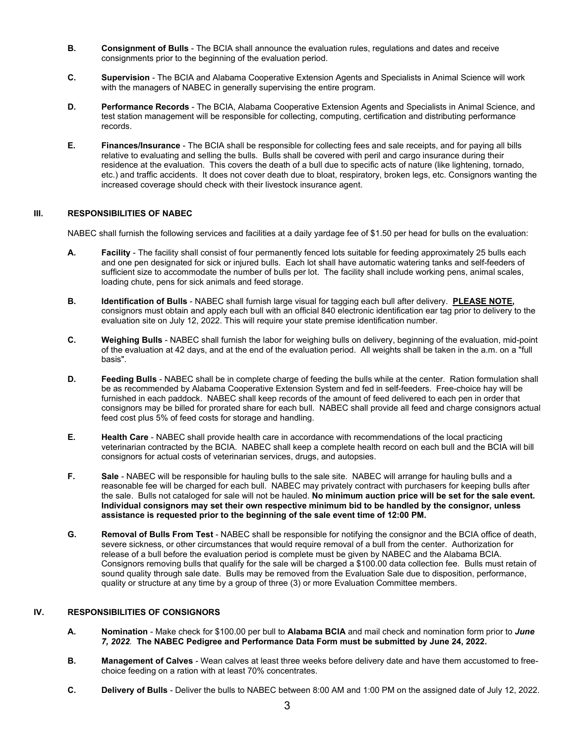- **B. Consignment of Bulls** The BCIA shall announce the evaluation rules, regulations and dates and receive consignments prior to the beginning of the evaluation period.
- **C. Supervision** The BCIA and Alabama Cooperative Extension Agents and Specialists in Animal Science will work with the managers of NABEC in generally supervising the entire program.
- **D. Performance Records** The BCIA, Alabama Cooperative Extension Agents and Specialists in Animal Science, and test station management will be responsible for collecting, computing, certification and distributing performance records.
- **E. Finances/Insurance** The BCIA shall be responsible for collecting fees and sale receipts, and for paying all bills relative to evaluating and selling the bulls. Bulls shall be covered with peril and cargo insurance during their residence at the evaluation. This covers the death of a bull due to specific acts of nature (like lightening, tornado, etc.) and traffic accidents. It does not cover death due to bloat, respiratory, broken legs, etc. Consignors wanting the increased coverage should check with their livestock insurance agent.

#### **III. RESPONSIBILITIES OF NABEC**

NABEC shall furnish the following services and facilities at a daily yardage fee of \$1.50 per head for bulls on the evaluation:

- **A. Facility** The facility shall consist of four permanently fenced lots suitable for feeding approximately 25 bulls each and one pen designated for sick or injured bulls. Each lot shall have automatic watering tanks and self-feeders of sufficient size to accommodate the number of bulls per lot. The facility shall include working pens, animal scales, loading chute, pens for sick animals and feed storage.
- **B. Identification of Bulls** NABEC shall furnish large visual for tagging each bull after delivery. **PLEASE NOTE,** consignors must obtain and apply each bull with an official 840 electronic identification ear tag prior to delivery to the evaluation site on July 12, 2022. This will require your state premise identification number.
- **C. Weighing Bulls** NABEC shall furnish the labor for weighing bulls on delivery, beginning of the evaluation, mid-point of the evaluation at 42 days, and at the end of the evaluation period. All weights shall be taken in the a.m. on a "full basis".
- **D. Feeding Bulls** NABEC shall be in complete charge of feeding the bulls while at the center. Ration formulation shall be as recommended by Alabama Cooperative Extension System and fed in self-feeders. Free-choice hay will be furnished in each paddock. NABEC shall keep records of the amount of feed delivered to each pen in order that consignors may be billed for prorated share for each bull. NABEC shall provide all feed and charge consignors actual feed cost plus 5% of feed costs for storage and handling.
- **E. Health Care** NABEC shall provide health care in accordance with recommendations of the local practicing veterinarian contracted by the BCIA. NABEC shall keep a complete health record on each bull and the BCIA will bill consignors for actual costs of veterinarian services, drugs, and autopsies.
- **F. Sale** NABEC will be responsible for hauling bulls to the sale site. NABEC will arrange for hauling bulls and a reasonable fee will be charged for each bull. NABEC may privately contract with purchasers for keeping bulls after the sale. Bulls not cataloged for sale will not be hauled. **No minimum auction price will be set for the sale event. Individual consignors may set their own respective minimum bid to be handled by the consignor, unless assistance is requested prior to the beginning of the sale event time of 12:00 PM.**
- **G. Removal of Bulls From Test** NABEC shall be responsible for notifying the consignor and the BCIA office of death, severe sickness, or other circumstances that would require removal of a bull from the center. Authorization for release of a bull before the evaluation period is complete must be given by NABEC and the Alabama BCIA. Consignors removing bulls that qualify for the sale will be charged a \$100.00 data collection fee. Bulls must retain of sound quality through sale date. Bulls may be removed from the Evaluation Sale due to disposition, performance, quality or structure at any time by a group of three (3) or more Evaluation Committee members.

#### **IV. RESPONSIBILITIES OF CONSIGNORS**

- **A. Nomination** Make check for \$100.00 per bull to **Alabama BCIA** and mail check and nomination form prior to *June 7, 2022.* **The NABEC Pedigree and Performance Data Form must be submitted by June 24, 2022.**
- **B. Management of Calves** Wean calves at least three weeks before delivery date and have them accustomed to freechoice feeding on a ration with at least 70% concentrates.
- **C. Delivery of Bulls** Deliver the bulls to NABEC between 8:00 AM and 1:00 PM on the assigned date of July 12, 2022.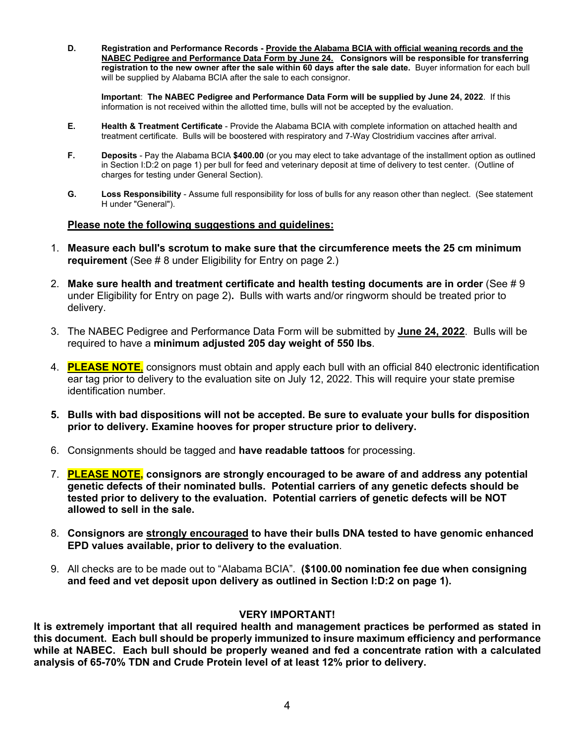**D. Registration and Performance Records - Provide the Alabama BCIA with official weaning records and the NABEC Pedigree and Performance Data Form by June 24. Consignors will be responsible for transferring registration to the new owner after the sale within 60 days after the sale date.** Buyer information for each bull will be supplied by Alabama BCIA after the sale to each consignor.

**Important**: **The NABEC Pedigree and Performance Data Form will be supplied by June 24, 2022**. If this information is not received within the allotted time, bulls will not be accepted by the evaluation.

- **E. Health & Treatment Certificate** Provide the Alabama BCIA with complete information on attached health and treatment certificate. Bulls will be boostered with respiratory and 7-Way Clostridium vaccines after arrival.
- **F. Deposits** Pay the Alabama BCIA **\$400.00** (or you may elect to take advantage of the installment option as outlined in Section I:D:2 on page 1) per bull for feed and veterinary deposit at time of delivery to test center. (Outline of charges for testing under General Section).
- **G. Loss Responsibility** Assume full responsibility for loss of bulls for any reason other than neglect. (See statement H under "General").

## **Please note the following suggestions and guidelines:**

- 1. **Measure each bull's scrotum to make sure that the circumference meets the 25 cm minimum requirement** (See # 8 under Eligibility for Entry on page 2.)
- 2. **Make sure health and treatment certificate and health testing documents are in order** (See # 9 under Eligibility for Entry on page 2)**.** Bulls with warts and/or ringworm should be treated prior to delivery.
- 3. The NABEC Pedigree and Performance Data Form will be submitted by **June 24, 2022**. Bulls will be required to have a **minimum adjusted 205 day weight of 550 lbs**.
- 4. **PLEASE NOTE**, consignors must obtain and apply each bull with an official 840 electronic identification ear tag prior to delivery to the evaluation site on July 12, 2022. This will require your state premise identification number.
- **5. Bulls with bad dispositions will not be accepted. Be sure to evaluate your bulls for disposition prior to delivery. Examine hooves for proper structure prior to delivery.**
- 6. Consignments should be tagged and **have readable tattoos** for processing.
- 7. **PLEASE NOTE, consignors are strongly encouraged to be aware of and address any potential genetic defects of their nominated bulls. Potential carriers of any genetic defects should be tested prior to delivery to the evaluation. Potential carriers of genetic defects will be NOT allowed to sell in the sale.**
- 8. **Consignors are strongly encouraged to have their bulls DNA tested to have genomic enhanced EPD values available, prior to delivery to the evaluation**.
- 9. All checks are to be made out to "Alabama BCIA". **(\$100.00 nomination fee due when consigning and feed and vet deposit upon delivery as outlined in Section I:D:2 on page 1).**

#### **VERY IMPORTANT!**

**It is extremely important that all required health and management practices be performed as stated in this document. Each bull should be properly immunized to insure maximum efficiency and performance while at NABEC. Each bull should be properly weaned and fed a concentrate ration with a calculated analysis of 65-70% TDN and Crude Protein level of at least 12% prior to delivery.**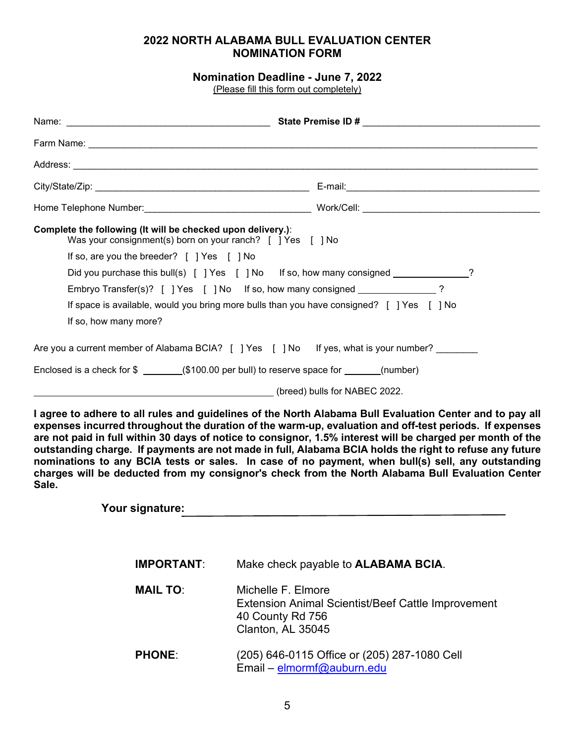# **2022 NORTH ALABAMA BULL EVALUATION CENTER NOMINATION FORM**

# **Nomination Deadline - June 7, 2022**

(Please fill this form out completely)

| Complete the following (It will be checked upon delivery.):<br>Was your consignment(s) born on your ranch? [] Yes [] No |                                                                                                                                                                                                                                                                                                                                                                                                                                                                                                                                                                                                                                                      |
|-------------------------------------------------------------------------------------------------------------------------|------------------------------------------------------------------------------------------------------------------------------------------------------------------------------------------------------------------------------------------------------------------------------------------------------------------------------------------------------------------------------------------------------------------------------------------------------------------------------------------------------------------------------------------------------------------------------------------------------------------------------------------------------|
| If so, are you the breeder? [ ] Yes [ ] No                                                                              |                                                                                                                                                                                                                                                                                                                                                                                                                                                                                                                                                                                                                                                      |
|                                                                                                                         | Did you purchase this bull(s) [ ] Yes [ ] No If so, how many consigned ____________?                                                                                                                                                                                                                                                                                                                                                                                                                                                                                                                                                                 |
|                                                                                                                         | Embryo Transfer(s)? [ ] Yes [ ] No If so, how many consigned _____________?                                                                                                                                                                                                                                                                                                                                                                                                                                                                                                                                                                          |
| If so, how many more?                                                                                                   | If space is available, would you bring more bulls than you have consigned? [ ] Yes [ ] No                                                                                                                                                                                                                                                                                                                                                                                                                                                                                                                                                            |
|                                                                                                                         | Are you a current member of Alabama BCIA? [ ] Yes [ ] No If yes, what is your number? _______                                                                                                                                                                                                                                                                                                                                                                                                                                                                                                                                                        |
|                                                                                                                         |                                                                                                                                                                                                                                                                                                                                                                                                                                                                                                                                                                                                                                                      |
|                                                                                                                         | . في (breed) bulls for NABEC 2022. [19] في المستقلة المستقلة المستقلة المستقلة المستقلة المستقلة المستقلة المس                                                                                                                                                                                                                                                                                                                                                                                                                                                                                                                                       |
| Sale.                                                                                                                   | I agree to adhere to all rules and guidelines of the North Alabama Bull Evaluation Center and to pay all<br>expenses incurred throughout the duration of the warm-up, evaluation and off-test periods. If expenses<br>are not paid in full within 30 days of notice to consignor, 1.5% interest will be charged per month of the<br>outstanding charge. If payments are not made in full, Alabama BCIA holds the right to refuse any future<br>nominations to any BCIA tests or sales. In case of no payment, when bull(s) sell, any outstanding<br>charges will be deducted from my consignor's check from the North Alabama Bull Evaluation Center |
| Your signature:                                                                                                         |                                                                                                                                                                                                                                                                                                                                                                                                                                                                                                                                                                                                                                                      |
| <b>IMPORTANT:</b>                                                                                                       | Make check payable to <b>ALABAMA BCIA.</b>                                                                                                                                                                                                                                                                                                                                                                                                                                                                                                                                                                                                           |
| <b>MAIL TO:</b>                                                                                                         | Michelle F. Elmore<br><b>Extension Animal Scientist/Beef Cattle Improvement</b><br>40 County Rd 756<br>Clanton, AL 35045                                                                                                                                                                                                                                                                                                                                                                                                                                                                                                                             |
| <b>PHONE:</b>                                                                                                           | (205) 646-0115 Office or (205) 287-1080 Cell<br>Email - elmormf@auburn.edu                                                                                                                                                                                                                                                                                                                                                                                                                                                                                                                                                                           |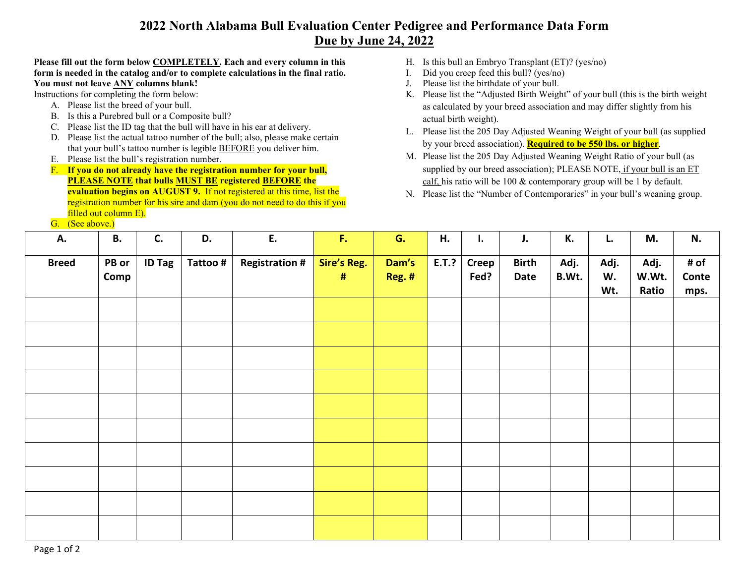# **2022 North Alabama Bull Evaluation Center Pedigree and Performance Data Form Due by June 24, 2022**

## **Please fill out the form below COMPLETELY. Each and every column in this form is needed in the catalog and/or to complete calculations in the final ratio. You must not leave ANY columns blank!**

Instructions for completing the form below:

- A. Please list the breed of your bull.
- B. Is this a Purebred bull or a Composite bull?
- C. Please list the ID tag that the bull will have in his ear at delivery.
- D. Please list the actual tattoo number of the bull; also, please make certain that your bull's tattoo number is legible BEFORE you deliver him.
- E. Please list the bull's registration number.
- F. **If you do not already have the registration number for your bull, PLEASE NOTE that bulls MUST BE registered BEFORE the evaluation begins on AUGUST 9.** If not registered at this time, list the registration number for his sire and dam (you do not need to do this if you filled out column E).
- G. (See above.)
- H. Is this bull an Embryo Transplant (ET)? (yes/no)
- I. Did you creep feed this bull? (yes/no)
- J. Please list the birthdate of your bull.
- K. Please list the "Adjusted Birth Weight" of your bull (this is the birth weight as calculated by your breed association and may differ slightly from his actual birth weight).
- L. Please list the 205 Day Adjusted Weaning Weight of your bull (as supplied by your breed association). **Required to be 550 lbs. or higher**.
- M. Please list the 205 Day Adjusted Weaning Weight Ratio of your bull (as supplied by our breed association); PLEASE NOTE, if your bull is an ET calf, his ratio will be 100 & contemporary group will be 1 by default.
- N. Please list the "Number of Contemporaries" in your bull's weaning group.

| А.           | <b>B.</b>     | C.            | D.       | E.                    | $\mathsf{F}_\bullet$    | G.              | H.    | I.                   | J.                   | К.            | L.                | M.                     | N.                    |
|--------------|---------------|---------------|----------|-----------------------|-------------------------|-----------------|-------|----------------------|----------------------|---------------|-------------------|------------------------|-----------------------|
| <b>Breed</b> | PB or<br>Comp | <b>ID Tag</b> | Tattoo # | <b>Registration #</b> | <b>Sire's Reg.</b><br># | Dam's<br>Reg. # | E.T.? | <b>Creep</b><br>Fed? | <b>Birth</b><br>Date | Adj.<br>B.Wt. | Adj.<br>W.<br>Wt. | Adj.<br>W.Wt.<br>Ratio | # of<br>Conte<br>mps. |
|              |               |               |          |                       |                         |                 |       |                      |                      |               |                   |                        |                       |
|              |               |               |          |                       |                         |                 |       |                      |                      |               |                   |                        |                       |
|              |               |               |          |                       |                         |                 |       |                      |                      |               |                   |                        |                       |
|              |               |               |          |                       |                         |                 |       |                      |                      |               |                   |                        |                       |
|              |               |               |          |                       |                         |                 |       |                      |                      |               |                   |                        |                       |
|              |               |               |          |                       |                         |                 |       |                      |                      |               |                   |                        |                       |
|              |               |               |          |                       |                         |                 |       |                      |                      |               |                   |                        |                       |
|              |               |               |          |                       |                         |                 |       |                      |                      |               |                   |                        |                       |
|              |               |               |          |                       |                         |                 |       |                      |                      |               |                   |                        |                       |
|              |               |               |          |                       |                         |                 |       |                      |                      |               |                   |                        |                       |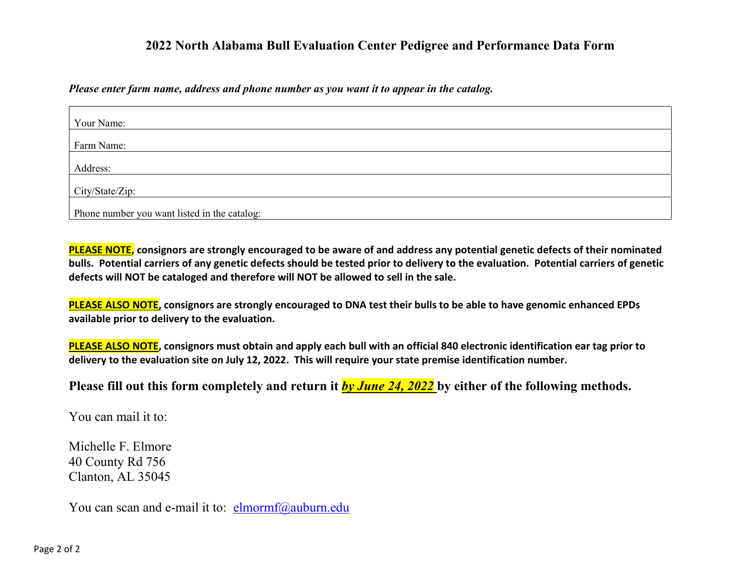# **2022 North Alabama Bull Evaluation Center Pedigree and Performance Data Form**

*Please enter farm name, address and phone number as you want it to appear in the catalog.*

| Your Name:                                   |  |
|----------------------------------------------|--|
| Farm Name:                                   |  |
| Address:                                     |  |
| City/State/Zip:                              |  |
| Phone number you want listed in the catalog: |  |

**PLEASE NOTE, consignors are strongly encouraged to be aware of and address any potential genetic defects of their nominated bulls. Potential carriers of any genetic defects should be tested prior to delivery to the evaluation. Potential carriers of genetic defects will NOT be cataloged and therefore will NOT be allowed to sell in the sale.** 

**PLEASE ALSO NOTE, consignors are strongly encouraged to DNA test their bulls to be able to have genomic enhanced EPDs available prior to delivery to the evaluation.** 

**PLEASE ALSO NOTE, consignors must obtain and apply each bull with an official 840 electronic identification ear tag prior to delivery to the evaluation site on July 12, 2022. This will require your state premise identification number.** 

**Please fill out this form completely and return it** *by June 24, 2022* **by either of the following methods.**

You can mail it to:

Michelle F. Elmore 40 County Rd 756 Clanton, AL 35045

You can scan and e-mail it to:  $\frac{elmorm}{d}$ auburn.edu